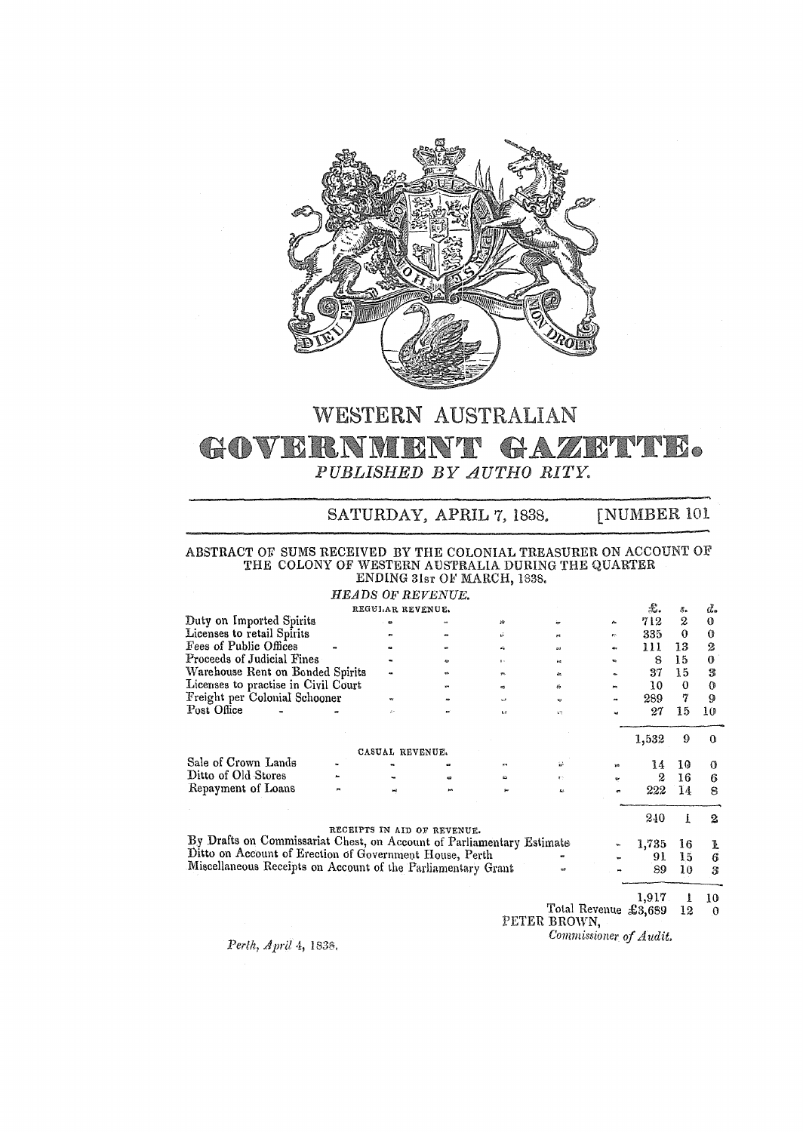

### WESTERN AUSTRALIAN GOVERNMENT GAZETTE. *PUBLISHED BY AUTHO RITY.*

SATURDAY, APRIL 7, 1838. [NUMBER 101

### ABSTRACT OF. SUMS RECEIVED BY THE COLONIAL TREASURER ON ACCOUNT OF THE COLONY OF WESTERN AUSTRALIA DURING 'fHE QUARTER

ENDING 31sr OF MARCH, 1838.

*HEADS* OF *REVENUE.* 

|                                                                       |    | REGULAR REVENUE. |                             |              |              |                      | £.    | S.       | ď.               |
|-----------------------------------------------------------------------|----|------------------|-----------------------------|--------------|--------------|----------------------|-------|----------|------------------|
| Duty on Imported Spirits                                              |    | œ                |                             | 缔            |              | 瓜                    | 712   | 2        | $\mathbf 0$      |
| Licenses to retail Spirits                                            |    |                  |                             | à.           |              | r.                   | 335   | 0        | $\bf{O}$         |
| Fees of Public Offices                                                |    |                  |                             | ŵ            |              | 404                  | 111   | 13       | 2                |
| Proceeds of Judicial Fines                                            |    |                  |                             | 14.          | îм.          |                      | 8     | 15       | 0                |
| Warehouse Rent on Bonded Spirits                                      |    |                  |                             | <b>White</b> | e.           |                      | 37    | 15       | 3                |
| Licenses to practise in Civil Court                                   |    |                  |                             | ø            | jú.          | m                    | 10    | $\Omega$ | $\theta$         |
| Freight per Colonial Schooner                                         |    | w                |                             | o            | <b>CJ</b>    |                      | 289   | 7        | 9                |
| Post Office                                                           |    | A.               |                             | $\mathbf{u}$ | 27           |                      | 27    | 15       | 10               |
|                                                                       |    |                  |                             |              |              |                      | 1,532 | 9        | ∩                |
|                                                                       |    | CASUAL REVENUE.  |                             |              |              |                      |       |          |                  |
| Sale of Crown Lands                                                   |    |                  |                             | en.          | ίŵ.          |                      | 14    | 10       | o                |
| Ditto of Old Stores                                                   |    |                  |                             | £.           | $\mathbf{r}$ | ur.                  | 2     | 16       | 6                |
| Repayment of Loans                                                    | p. | w                |                             |              | 62           |                      | 222   | 14       | 8                |
|                                                                       |    |                  |                             |              |              |                      | 240   | L        | 2                |
| By Drafts on Commissariat Chest, on Account of Parliamentary Estimate |    |                  | RECEIPTS IN AID OF REVENUE. |              |              |                      |       |          |                  |
| Ditto on Account of Erection of Government House, Perth               |    |                  |                             |              |              |                      | 1,735 | 16       | l                |
|                                                                       |    |                  |                             |              |              |                      | 91    | 15       | $\boldsymbol{6}$ |
| Miscellaneous Receipts on Account of the Parliamentary Grant          |    |                  |                             |              | eø.          |                      | 89    | 10       | 3                |
|                                                                       |    |                  |                             |              |              |                      | 1,917 |          | 10               |
|                                                                       |    |                  |                             |              |              | Total Revenue £3,689 |       | 12       | 0                |

PETER BROWN,

*Commissioner of Audit.,* 

*Perth) April* 4, 1838,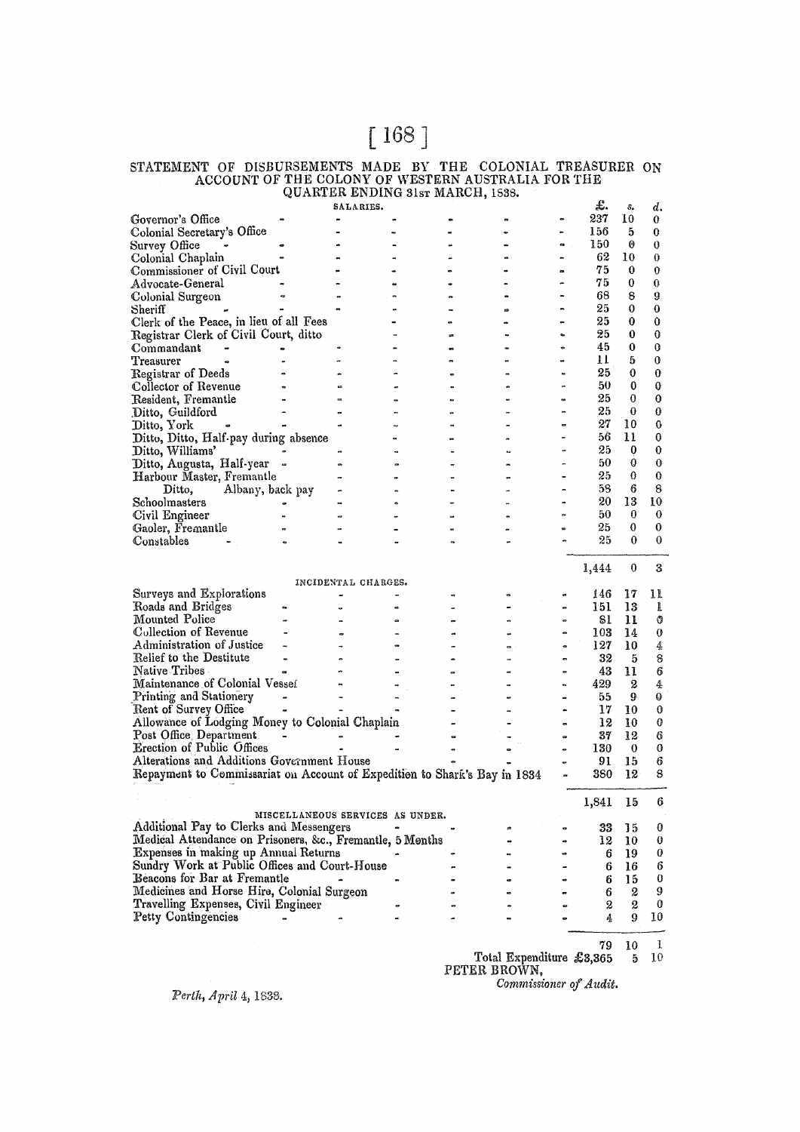# [ 168]

#### STATEMENT OF DISBURSEMENTS MADE BY THE COLONIAL TREASURER ON ACCOUNT OF THE COLONY OF WESTERN AUSTRALIA FOR THE QUARTER ENDING 31sT MARCH, 1538.

|                                                                           |                                  | SALARIES.           |  |              |                | £.      | s.       | d.               |
|---------------------------------------------------------------------------|----------------------------------|---------------------|--|--------------|----------------|---------|----------|------------------|
| Governor's Office                                                         |                                  |                     |  |              | 0              | 237     | 10       | 0                |
| Colonial Secretary's Office                                               |                                  |                     |  |              |                | 156     | 5        | 0                |
| Survey Office                                                             |                                  |                     |  |              | es             | 150     | 0        | 0                |
| Colonial Chaplain                                                         |                                  |                     |  |              |                | 62      | 10       | 0                |
| Commissioner of Civil Court                                               |                                  |                     |  |              | ۰              | 75      | 0        | 0                |
| Advocate-General                                                          |                                  |                     |  |              | ė.             | 75      | 0        | 0                |
| Colonial Surgeon                                                          |                                  |                     |  |              |                | 68      | 8        | 9                |
|                                                                           |                                  |                     |  |              |                | 25      | 0        | 0                |
| Sheriff                                                                   |                                  |                     |  |              |                | 25      | 0        | 0                |
| Clerk of the Peace, in lieu of all Fees                                   |                                  |                     |  |              |                | 25      |          |                  |
| Registrar Clerk of Civil Court, ditto                                     |                                  |                     |  |              |                |         | 0        | 0                |
| Commandant                                                                |                                  |                     |  |              | $\bullet$      | 45      | 0        | 0                |
| Treasurer                                                                 |                                  |                     |  |              |                | Ħ       | 5        | 0                |
| Registrar of Deeds                                                        |                                  |                     |  |              |                | 25      | 0        | $\bf{0}$         |
| Collector of Revenue                                                      |                                  |                     |  |              |                | 50      | 0        | 0                |
| Resident, Fremantle                                                       |                                  |                     |  |              |                | 25      | 0        | 0                |
| Ditto, Guildford                                                          |                                  |                     |  |              |                | 25      | 0        | 0                |
| Ditto, York                                                               |                                  |                     |  |              |                | 27      | 10       | 0                |
| Ditto, Ditto, Half-pay during absence                                     |                                  |                     |  |              |                | 56      | 11       | 0                |
| Ditto, Williams'                                                          |                                  |                     |  |              |                | 25      | 0        | 0                |
| Ditto, Augusta, Half-year                                                 | œ                                |                     |  |              |                | 50      | 0        | 0                |
| Harbour Master, Fremantle                                                 |                                  |                     |  |              |                | 25      | 0        | 0                |
| Albany, back pay<br>Ditto,                                                |                                  |                     |  |              |                | 58      | 6        | 8                |
| Schoolmasters                                                             |                                  |                     |  |              |                | 20      | 13       | 10               |
| Civil Engineer                                                            |                                  |                     |  |              |                | 50      | 0        | 0                |
| Gaoler, Fremantle                                                         |                                  |                     |  |              |                | 25      | $\bf{0}$ | 0                |
| Constables                                                                |                                  |                     |  |              |                | 25      | 0        | 0                |
|                                                                           |                                  |                     |  |              |                |         |          |                  |
|                                                                           |                                  |                     |  |              |                |         | $\bf{0}$ | 3                |
|                                                                           |                                  |                     |  |              |                | 1,444   |          |                  |
|                                                                           |                                  | INCIDENTAL CHARGES. |  |              |                |         |          |                  |
| Surveys and Explorations                                                  |                                  |                     |  |              |                | 146     | 17       | 11               |
| Roads and Bridges                                                         |                                  |                     |  |              |                | 151.    | 13       | ı                |
| <b>Mounted Police</b>                                                     |                                  |                     |  |              |                | 81      | 11       | Ű                |
| Collection of Revenue                                                     |                                  |                     |  |              |                | $103\,$ | 14       | 0                |
| Administration of Justice                                                 |                                  |                     |  |              | o              | 127     | 10       | 4                |
| Relief to the Destitute                                                   |                                  |                     |  |              |                | 32      | 5        | 8                |
| Native Tribes                                                             |                                  |                     |  |              |                | 43      | 11       | $\boldsymbol{6}$ |
| Maintenance of Colonial Vesseí                                            |                                  |                     |  |              |                | 429     | 2        | 4                |
| Printing and Stationery                                                   |                                  |                     |  |              |                | 55      | 9        | 0                |
| Rent of Survey Office                                                     |                                  |                     |  |              |                | 17      | 10       | 0                |
| Allowance of Lodging Money to Colonial Chaplain                           |                                  |                     |  |              |                | 12      | 10       | 0                |
| Post Office, Department                                                   |                                  |                     |  |              | $\blacksquare$ | 37      | 12       | 6                |
| <b>Erection of Public Offices</b>                                         |                                  |                     |  |              |                | 130     | $\bf{0}$ | 0                |
| Alterations and Additions Government House                                |                                  |                     |  |              |                | 91      | 15       | 6                |
| Repayment to Commissariat on Account of Expedition to Shark's Bay in 1834 |                                  |                     |  |              |                | 380     | 12       | 8                |
|                                                                           |                                  |                     |  |              |                |         |          |                  |
|                                                                           |                                  |                     |  |              |                | 1,841   | 15       | 6                |
|                                                                           | MISCELLANEOUS SERVICES AS UNDER. |                     |  |              |                |         |          |                  |
| Additional Pay to Clerks and Messengers                                   |                                  |                     |  |              |                | 33      | 15       | 0                |
| Medical Attendance on Prisoners, &c., Fremantle, 5 Months                 |                                  |                     |  |              |                | 12      | 10       | 0                |
| Expenses in making up Annual Returns                                      |                                  |                     |  |              |                |         |          |                  |
|                                                                           |                                  |                     |  |              |                | 6       | 19       | 0                |
| Sundry Work at Public Offices and Court-House                             |                                  |                     |  |              |                | 6       | 16       | 6                |
| Beacons for Bar at Fremantle                                              |                                  |                     |  |              |                | 6       | 15       | 0                |
| Medicines and Horse Hire, Colonial Surgeon                                |                                  |                     |  |              |                | 6       | 2        | 9                |
| Travelling Expenses, Civil Engineer                                       |                                  |                     |  |              |                | 2       | 2        | 0                |
| Petty Contingencies                                                       |                                  |                     |  |              |                | 4       | 9        | $10\,$           |
|                                                                           |                                  |                     |  |              |                |         |          |                  |
|                                                                           |                                  |                     |  |              |                | 79      | 10       | L                |
|                                                                           |                                  |                     |  | <b>Jierr</b> |                | ممم مہ  |          |                  |

Total Expenditure  $\pounds 3,365$  5 10 PETER BROWN,

Perth, April 4, 1838.

*Commissioner of Audit,*